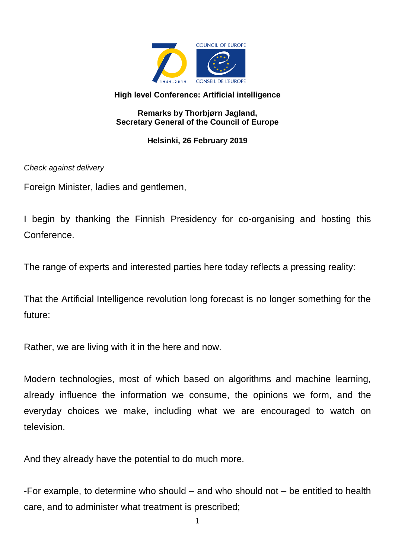

## **High level Conference: Artificial intelligence**

## **Remarks by Thorbjørn Jagland, Secretary General of the Council of Europe**

## **Helsinki, 26 February 2019**

*Check against delivery*

Foreign Minister, ladies and gentlemen,

I begin by thanking the Finnish Presidency for co-organising and hosting this **Conference** 

The range of experts and interested parties here today reflects a pressing reality:

That the Artificial Intelligence revolution long forecast is no longer something for the future:

Rather, we are living with it in the here and now.

Modern technologies, most of which based on algorithms and machine learning, already influence the information we consume, the opinions we form, and the everyday choices we make, including what we are encouraged to watch on television.

And they already have the potential to do much more.

-For example, to determine who should – and who should not – be entitled to health care, and to administer what treatment is prescribed;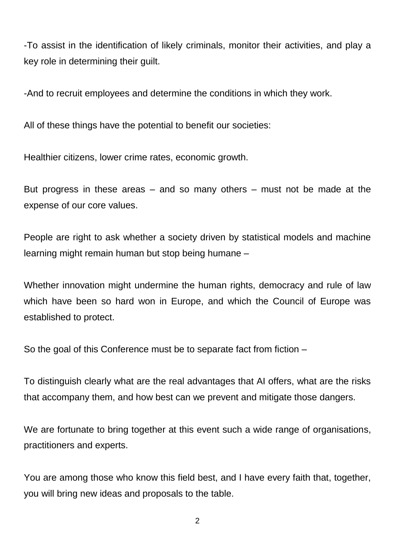-To assist in the identification of likely criminals, monitor their activities, and play a key role in determining their guilt.

-And to recruit employees and determine the conditions in which they work.

All of these things have the potential to benefit our societies:

Healthier citizens, lower crime rates, economic growth.

But progress in these areas – and so many others – must not be made at the expense of our core values.

People are right to ask whether a society driven by statistical models and machine learning might remain human but stop being humane –

Whether innovation might undermine the human rights, democracy and rule of law which have been so hard won in Europe, and which the Council of Europe was established to protect.

So the goal of this Conference must be to separate fact from fiction –

To distinguish clearly what are the real advantages that AI offers, what are the risks that accompany them, and how best can we prevent and mitigate those dangers.

We are fortunate to bring together at this event such a wide range of organisations, practitioners and experts.

You are among those who know this field best, and I have every faith that, together, you will bring new ideas and proposals to the table.

2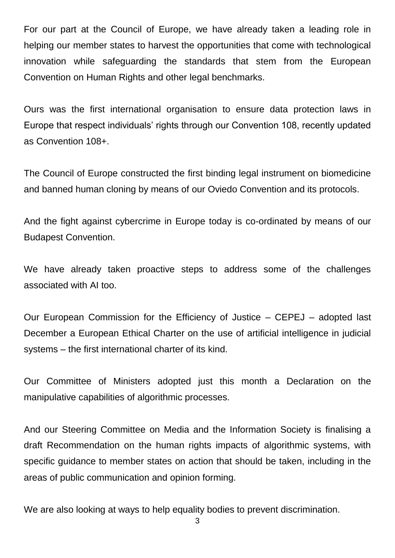For our part at the Council of Europe, we have already taken a leading role in helping our member states to harvest the opportunities that come with technological innovation while safeguarding the standards that stem from the European Convention on Human Rights and other legal benchmarks.

Ours was the first international organisation to ensure data protection laws in Europe that respect individuals' rights through our Convention 108, recently updated as Convention 108+.

The Council of Europe constructed the first binding legal instrument on biomedicine and banned human cloning by means of our Oviedo Convention and its protocols.

And the fight against cybercrime in Europe today is co-ordinated by means of our Budapest Convention.

We have already taken proactive steps to address some of the challenges associated with AI too.

Our European Commission for the Efficiency of Justice – CEPEJ – adopted last December a European Ethical Charter on the use of artificial intelligence in judicial systems – the first international charter of its kind.

Our Committee of Ministers adopted just this month a Declaration on the manipulative capabilities of algorithmic processes.

And our Steering Committee on Media and the Information Society is finalising a draft Recommendation on the human rights impacts of algorithmic systems, with specific guidance to member states on action that should be taken, including in the areas of public communication and opinion forming.

We are also looking at ways to help equality bodies to prevent discrimination.